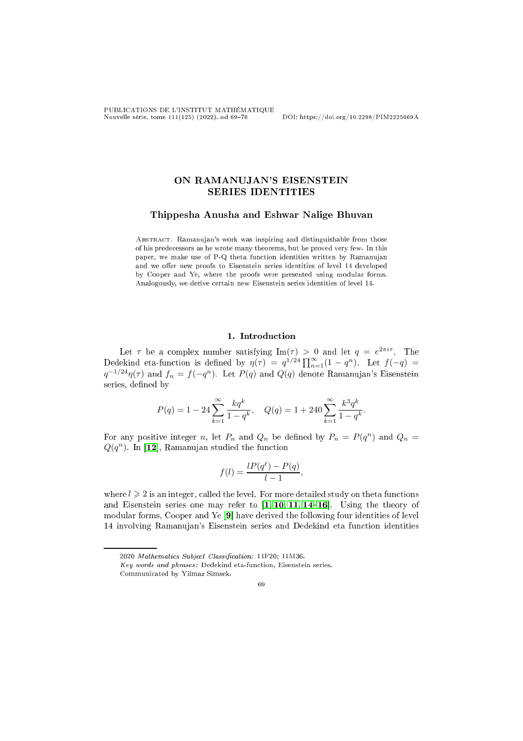PUBLICATIONS DE L'INSTITUT MATHÉMATIQUE Nouvelle série, tome 111(125) (2022), od 6976 DOI: https://doi.org/10.2298/PIM2225069A

# ON RAMANUJAN'S EISENSTEIN **SERIES IDENTITIES**

### Thippesha Anusha and Eshwar Nalige Bhuvan

Abstra
t. Ramanujan's work was inspiring and distinguishable from those of his prede
essors as he wrote many theorems, but he proved very few. In this paper, we make use of P-Q theta function identities written by Ramanujan and we offer new proofs to Eisenstein series identities of level 14 developed by Cooper and Ye, where the proofs were presented using modular forms. Analogously, we derive ertain new Eisenstein series identities of level 14.

### 1. Introduction

Let  $\tau$  be a complex number satisfying  $\text{Im}(\tau) > 0$  and let  $q = e^{2\pi i \tau}$ . The Dedekind eta-function is defined by  $\eta(\tau) = q^{1/24} \prod_{n=1}^{\infty} (1 - q^n)$ . Let  $f(-q) =$  $q^{-1/24}\eta(\tau)$  and  $f_n = f(-q^n)$ . Let  $P(q)$  and  $Q(q)$  denote Ramanujan's Eisenstein series, defined by

$$
P(q) = 1 - 24 \sum_{k=1}^{\infty} \frac{kq^k}{1 - q^k}, \quad Q(q) = 1 + 240 \sum_{k=1}^{\infty} \frac{k^3 q^k}{1 - q^k}.
$$

For any positive integer n, let  $P_n$  and  $Q_n$  be defined by  $P_n = P(q^n)$  and  $Q_n =$  $Q(q^n)$ . In [12], Ramanujan studied the function

$$
f(l) = \frac{lP(q^{\ell}) - P(q)}{l - 1},
$$

where  $l \geqslant 2$  is an integer, called the level. For more detailed study on theta functions and Eisenstein series one may refer to  $\left[1, 10, 11, 14-16\right]$  $\left[1, 10, 11, 14-16\right]$  $\left[1, 10, 11, 14-16\right]$  $\left[1, 10, 11, 14-16\right]$  $\left[1, 10, 11, 14-16\right]$  $\left[1, 10, 11, 14-16\right]$  $\left[1, 10, 11, 14-16\right]$  $\left[1, 10, 11, 14-16\right]$  $\left[1, 10, 11, 14-16\right]$ . Using the theory of modular forms, Cooper and Ye  $[9]$  have derived the following four identities of level 14 involving Ramanujan's Eisenstein series and Dedekind eta fun
tion identities

69

<sup>2020</sup> Mathematics Subject Classification: 11F20; 11M36.

Key words and phrases: Dedekind eta-fun
tion, Eisenstein series.

Communi
ated by Yilmaz Simsek.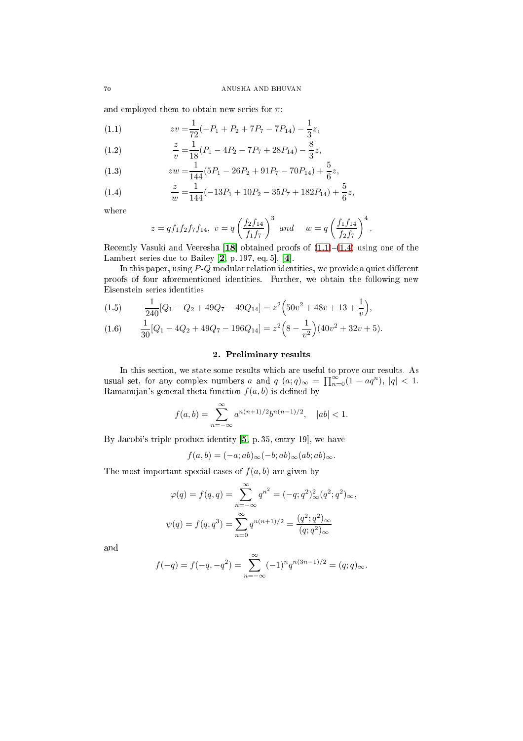and employed them to obtain new series for  $\pi$ :

<span id="page-1-0"></span>(1.1) 
$$
zv = \frac{1}{72}(-P_1 + P_2 + 7P_7 - 7P_{14}) - \frac{1}{3}z,
$$

<span id="page-1-2"></span>(1.2) 
$$
\frac{z}{v} = \frac{1}{18}(P_1 - 4P_2 - 7P_7 + 28P_{14}) - \frac{8}{3}z,
$$

<span id="page-1-3"></span>(1.3) 
$$
zw = \frac{1}{144}(5P_1 - 26P_2 + 91P_7 - 70P_{14}) + \frac{5}{6}z,
$$

<span id="page-1-1"></span>(1.4) 
$$
\frac{z}{w} = \frac{1}{144}(-13P_1 + 10P_2 - 35P_7 + 182P_{14}) + \frac{5}{6}z,
$$

where

$$
z = qf_1f_2f_7f_{14}, v = q\left(\frac{f_2f_{14}}{f_1f_7}\right)^3
$$
 and  $w = q\left(\frac{f_1f_{14}}{f_2f_7}\right)^4$ .

Recently Vasuki and Veeresha [18] obtained proofs of  $(1.1)-(1.4)$  $(1.1)-(1.4)$  $(1.1)-(1.4)$  using one of the Lambert series due to Bailey  $[2, p. 197, eq. 5], [4].$  $[2, p. 197, eq. 5], [4].$ 

In this paper, using  $P \cdot Q$  modular relation identities, we provide a quiet different proofs of four aforementioned identities. Further, we obtain the following new Eisenstein series identities:

(1.5) 
$$
\frac{1}{240}[Q_1 - Q_2 + 49Q_7 - 49Q_{14}] = z^2(50v^2 + 48v + 13 + \frac{1}{v}),
$$

$$
(1.6) \qquad \frac{1}{30}[Q_1 - 4Q_2 + 49Q_7 - 196Q_{14}] = z^2\left(8 - \frac{1}{v^2}\right)(40v^2 + 32v + 5).
$$

## 2. Preliminary results

In this se
tion, we state some results whi
h are useful to prove our results. As usual set, for any complex numbers a and  $q(a;q)_{\infty} = \prod_{n=0}^{\infty} (1 - aq^n)$ ,  $|q| < 1$ . Ramanujan's general theta function  $f(a, b)$  is defined by

$$
f(a,b) = \sum_{n=-\infty}^{\infty} a^{n(n+1)/2} b^{n(n-1)/2}, \quad |ab| < 1.
$$

By Jacobi's triple product identity  $[5, p. 35, entry 19]$  $[5, p. 35, entry 19]$ , we have

$$
f(a,b) = (-a; ab)_{\infty}(-b; ab)_{\infty}(ab; ab)_{\infty}.
$$

The most important special cases of  $f(a, b)$  are given by

$$
\varphi(q) = f(q, q) = \sum_{n = -\infty}^{\infty} q^{n^2} = (-q; q^2)_{\infty}^2 (q^2; q^2)_{\infty},
$$
  

$$
\psi(q) = f(q, q^3) = \sum_{n = 0}^{\infty} q^{n(n+1)/2} = \frac{(q^2; q^2)_{\infty}}{(q; q^2)_{\infty}}
$$

and

$$
f(-q) = f(-q, -q^2) = \sum_{n=-\infty}^{\infty} (-1)^n q^{n(3n-1)/2} = (q;q)_{\infty}.
$$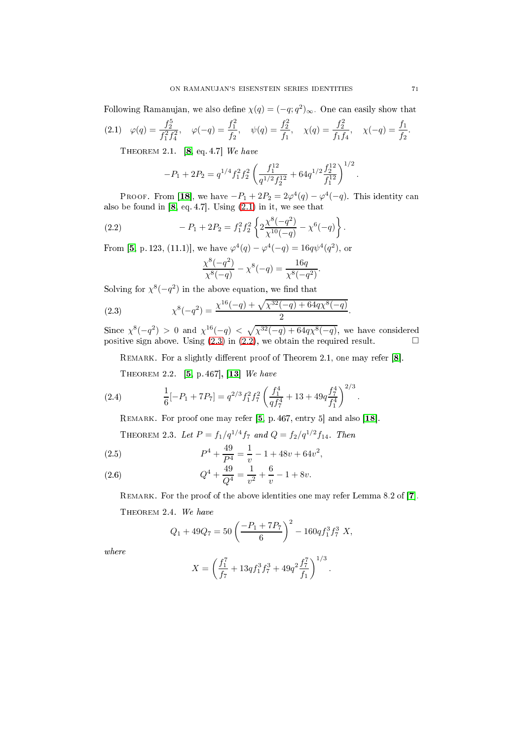Following Ramanujan, we also define  $\chi(q) = (-q; q^2)_{\infty}$ . One can easily show that

$$
(2.1) \quad \varphi(q) = \frac{f_2^5}{f_1^2 f_4^2}, \quad \varphi(-q) = \frac{f_1^2}{f_2}, \quad \psi(q) = \frac{f_2^2}{f_1}, \quad \chi(q) = \frac{f_2^2}{f_1 f_4}, \quad \chi(-q) = \frac{f_1}{f_2}.
$$

<span id="page-2-0"></span>THEOREM 2.1.  $[8, eq. 4.7]$  $[8, eq. 4.7]$  We have

$$
-P_1 + 2P_2 = q^{1/4} f_1^2 f_2^2 \left(\frac{f_1^{12}}{q^{1/2} f_2^{12}} + 64 q^{1/2} \frac{f_2^{12}}{f_1^{12}}\right)^{1/2}
$$

PROOF. From [18], we have  $-P_1 + 2P_2 = 2\varphi^4(q) - \varphi^4(-q)$ . This identity can also be found in [\[8,](#page-6-5) eq. 4.7]. Using [\(2.1\)](#page-2-0) in it, we see that

(2.2) 
$$
-P_1 + 2P_2 = f_1^2 f_2^2 \left\{ 2 \frac{\chi^8(-q^2)}{\chi^{10}(-q)} - \chi^6(-q) \right\}.
$$

From [\[5,](#page-6-4) p. 123, (11.1)], we have  $\varphi^4(q) - \varphi^4(-q) = 16q\psi^4(q^2)$ , or

<span id="page-2-2"></span>
$$
\frac{\chi^{8}(-q^2)}{\chi^{8}(-q)} - \chi^{8}(-q) = \frac{16q}{\chi^{8}(-q^2)}.
$$

Solving for  $\chi^8(-q^2)$  in the above equation, we find that

<span id="page-2-1"></span>(2.3) 
$$
\chi^{8}(-q^{2}) = \frac{\chi^{16}(-q) + \sqrt{\chi^{32}(-q) + 64q\chi^{8}(-q)}}{2}.
$$

Since  $\chi^8(-q^2) > 0$  and  $\chi^{16}(-q) < \sqrt{\chi^{32}(-q) + 64q\chi^8(-q)}$ , we have considered positive sign above. Using  $(2.3)$  in  $(2.2)$ , we obtain the required result.

REMARK. For a slightly different proof of Theorem 2.1, one may refer  $[8]$ .

THEOREM 2.2. [\[5,](#page-6-4) p. 467],  $[13]$  We have

(2.4) 
$$
\frac{1}{6}[-P_1 + 7P_7] = q^{2/3}f_1^2f_7^2\left(\frac{f_1^4}{qf_7^4} + 13 + 49q\frac{f_7^4}{f_1^4}\right)^{2/3}.
$$

<span id="page-2-3"></span>REMARK. For proof one may refer  $[5, p. 467,$  $[5, p. 467,$  entry  $5$  and also  $[18]$ .

THEOREM 2.3. Let  $P = f_1/q^{1/4}f_7$  and  $Q = f_2/q^{1/2}f_{14}$ . Then

<span id="page-2-4"></span>(2.5) 
$$
P^4 + \frac{49}{P^4} = \frac{1}{v} - 1 + 48v + 64v^2,
$$

<span id="page-2-5"></span>(2.6) 
$$
Q^4 + \frac{49}{Q^4} = \frac{1}{v^2} + \frac{6}{v} - 1 + 8v.
$$

REMARK. For the proof of the above identities one may refer Lemma 8.2 of  $[7]$ . THEOREM 2.4. We have

$$
Q_1 + 49Q_7 = 50 \left( \frac{-P_1 + 7P_7}{6} \right)^2 - 160q f_1^3 f_7^3 X,
$$

where

$$
X = \left(\frac{f_1^7}{f_7} + 13q f_1^3 f_7^3 + 49q^2 \frac{f_7^7}{f_1}\right)^{1/3}.
$$

.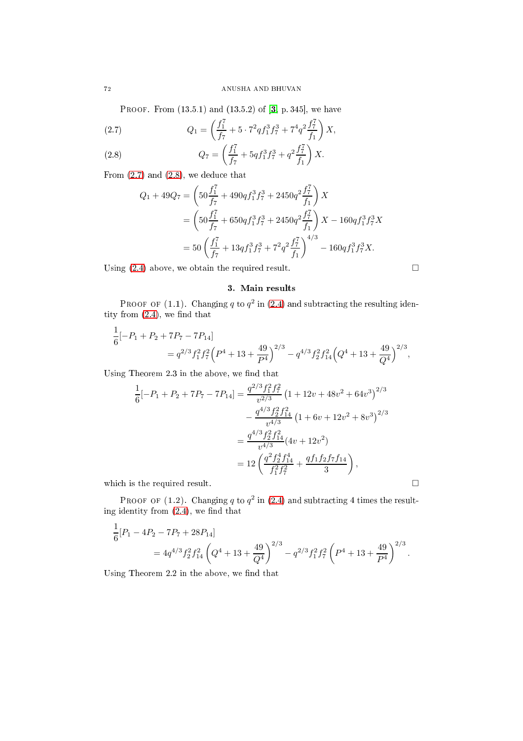PROOF. From  $(13.5.1)$  and  $(13.5.2)$  of  $[3, p. 345]$  $[3, p. 345]$ , we have

<span id="page-3-0"></span>(2.7) 
$$
Q_1 = \left(\frac{f_1^7}{f_7} + 5 \cdot 7^2 q f_1^3 f_7^3 + 7^4 q^2 \frac{f_7^7}{f_1}\right) X,
$$

<span id="page-3-1"></span>(2.8) 
$$
Q_7 = \left(\frac{f_1^7}{f_7} + 5q f_1^3 f_7^3 + q^2 \frac{f_7^7}{f_1}\right) X.
$$

From  $(2.7)$  and  $(2.8)$ , we deduce that

$$
Q_1 + 49Q_7 = \left(50\frac{f_1^7}{f_7} + 490q f_1^3 f_7^3 + 2450q^2 \frac{f_7^7}{f_1}\right) X
$$
  
=  $\left(50\frac{f_1^7}{f_7} + 650q f_1^3 f_7^3 + 2450q^2 \frac{f_7^7}{f_1}\right) X - 160q f_1^3 f_7^3 X$   
=  $50\left(\frac{f_1^7}{f_7} + 13q f_1^3 f_7^3 + 7^2 q^2 \frac{f_7^7}{f_1}\right)^{4/3} - 160q f_1^3 f_7^3 X.$ 

Using [\(2.4\)](#page-2-3) above, we obtain the required result.  $\square$ 

## 3. Main results

PROOF OF  $(1.1)$ . Changing q to  $q^2$  in  $(2.4)$  and subtracting the resulting identity from  $(2.4)$ , we find that

$$
\frac{1}{6}[-P_1 + P_2 + 7P_7 - 7P_{14}]
$$
  
=  $q^{2/3} f_1^2 f_7^2 (P^4 + 13 + \frac{49}{P^4})^{2/3} - q^{4/3} f_2^2 f_{14}^2 (Q^4 + 13 + \frac{49}{Q^4})^{2/3},$ 

Using Theorem 2.3 in the above, we find that

$$
\frac{1}{6}[-P_1 + P_2 + 7P_7 - 7P_{14}] = \frac{q^{2/3}f_1^2f_7^2}{v^{2/3}} \left(1 + 12v + 48v^2 + 64v^3\right)^{2/3}
$$

$$
- \frac{q^{4/3}f_2^2f_{14}^2}{v^{4/3}} \left(1 + 6v + 12v^2 + 8v^3\right)^{2/3}
$$

$$
= \frac{q^{4/3}f_2^2f_{14}^2}{v^{4/3}} (4v + 12v^2)
$$

$$
= 12\left(\frac{q^2f_2^4f_{14}^4}{f_1^2f_7^2} + \frac{qf_1f_2f_7f_{14}}{3}\right),
$$
which is the required result.

PROOF OF (1.2). Changing q to  $q^2$  in [\(2.4\)](#page-2-3) and subtracting 4 times the resulting identity from  $(2.4)$ , we find that

$$
\frac{1}{6}[P_1 - 4P_2 - 7P_7 + 28P_{14}]
$$
  
=  $4q^{4/3} f_2^2 f_{14}^2 \left(Q^4 + 13 + \frac{49}{Q^4}\right)^{2/3} - q^{2/3} f_1^2 f_7^2 \left(P^4 + 13 + \frac{49}{P^4}\right)^{2/3}.$ 

Using Theorem 2.2 in the above, we find that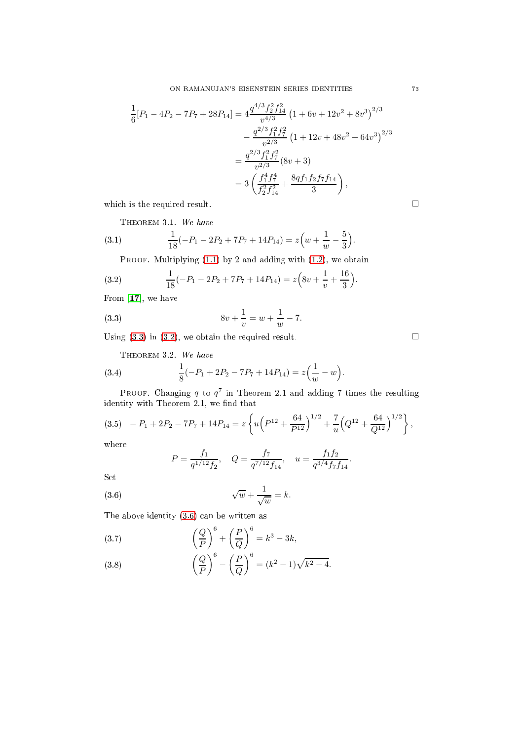$$
\frac{1}{6}[P_1 - 4P_2 - 7P_7 + 28P_{14}] = 4\frac{q^{4/3}f_2^2f_{14}^2}{v^{4/3}}\left(1 + 6v + 12v^2 + 8v^3\right)^{2/3} \n- \frac{q^{2/3}f_1^2f_7^2}{v^{2/3}}\left(1 + 12v + 48v^2 + 64v^3\right)^{2/3} \n= \frac{q^{2/3}f_1^2f_7^2}{v^{2/3}}(8v + 3) \n= 3\left(\frac{f_1^4f_7^4}{f_2^2f_{14}^2} + \frac{8qf_1f_2f_7f_{14}}{3}\right),
$$

which is the required result.  $\hfill \square$ 

<span id="page-4-6"></span>THEOREM 3.1. We have

(3.1) 
$$
\frac{1}{18}(-P_1 - 2P_2 + 7P_7 + 14P_{14}) = z\left(w + \frac{1}{w} - \frac{5}{3}\right).
$$

<span id="page-4-1"></span>PROOF. Multiplying  $(1.1)$  by 2 and adding with  $(1.2)$ , we obtain

(3.2) 
$$
\frac{1}{18}(-P_1 - 2P_2 + 7P_7 + 14P_{14}) = z\left(8v + \frac{1}{v} + \frac{16}{3}\right).
$$

From  $[17]$ , we have

(3.3) 
$$
8v + \frac{1}{v} = w + \frac{1}{w} - 7.
$$

Using  $(3.3)$  in  $(3.2)$ , we obtain the required result.  $\Box$ 

<span id="page-4-7"></span><span id="page-4-0"></span>THEOREM 3.2. We have

(3.4) 
$$
\frac{1}{8}(-P_1 + 2P_2 - 7P_7 + 14P_{14}) = z\left(\frac{1}{w} - w\right).
$$

PROOF. Changing  $q$  to  $q^7$  in Theorem 2.1 and adding 7 times the resulting identity with Theorem 2.1, we find that

<span id="page-4-5"></span>
$$
(3.5) \quad -P_1 + 2P_2 - 7P_7 + 14P_{14} = z \left\{ u \left( P^{12} + \frac{64}{P^{12}} \right)^{1/2} + \frac{7}{u} \left( Q^{12} + \frac{64}{Q^{12}} \right)^{1/2} \right\},
$$

where

$$
P = \frac{f_1}{q^{1/12} f_2}, \quad Q = \frac{f_7}{q^{7/12} f_{14}}, \quad u = \frac{f_1 f_2}{q^{3/4} f_7 f_{14}}.
$$

Set

<span id="page-4-2"></span>
$$
\sqrt{w} + \frac{1}{\sqrt{w}} = k.
$$

The above identity [\(3.6\)](#page-4-2) an be written as

<span id="page-4-3"></span>(3.7) 
$$
\left(\frac{Q}{P}\right)^6 + \left(\frac{P}{Q}\right)^6 = k^3 - 3k,
$$

<span id="page-4-4"></span>(3.8) 
$$
\left(\frac{Q}{P}\right)^6 - \left(\frac{P}{Q}\right)^6 = (k^2 - 1)\sqrt{k^2 - 4}.
$$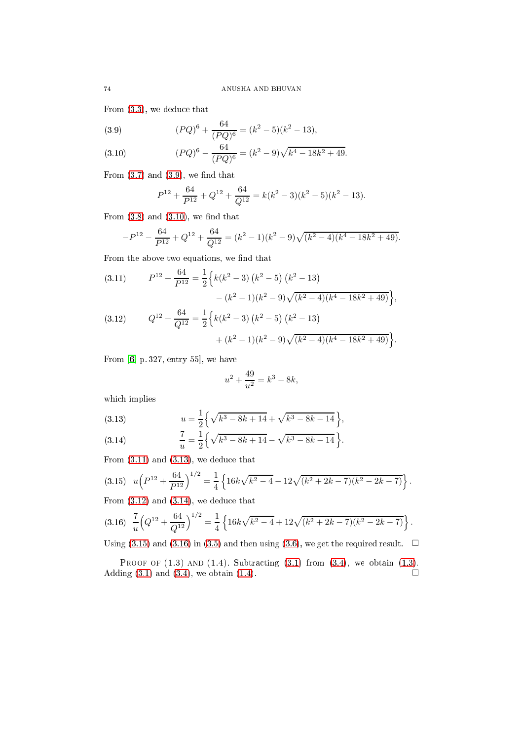From [\(3.3\)](#page-4-0), we dedu
e that

<span id="page-5-0"></span>(3.9) 
$$
(PQ)^6 + \frac{64}{(PQ)^6} = (k^2 - 5)(k^2 - 13),
$$

<span id="page-5-1"></span>(3.10) 
$$
(PQ)^6 - \frac{64}{(PQ)^6} = (k^2 - 9)\sqrt{k^4 - 18k^2 + 49}.
$$

From  $(3.7)$  and  $(3.9)$ , we find that

$$
P^{12} + \frac{64}{P^{12}} + Q^{12} + \frac{64}{Q^{12}} = k(k^2 - 3)(k^2 - 5)(k^2 - 13).
$$

From  $(3.8)$  and  $(3.10)$ , we find that

$$
-P^{12} - \frac{64}{P^{12}} + Q^{12} + \frac{64}{Q^{12}} = (k^2 - 1)(k^2 - 9)\sqrt{(k^2 - 4)(k^4 - 18k^2 + 49)}.
$$

From the above two equations, we find that

<span id="page-5-4"></span><span id="page-5-2"></span>(3.11) 
$$
P^{12} + \frac{64}{P^{12}} = \frac{1}{2} \Big\{ k(k^2 - 3) (k^2 - 5) (k^2 - 13) - (k^2 - 1)(k^2 - 9) \sqrt{(k^2 - 4)(k^4 - 18k^2 + 49)} \Big\},
$$
  
(3.12) 
$$
Q^{12} + \frac{64}{Q^{12}} = \frac{1}{2} \Big\{ k(k^2 - 3) (k^2 - 5) (k^2 - 13) + (k^2 - 1)(k^2 - 9) \sqrt{(k^2 - 4)(k^4 - 18k^2 + 49)} \Big\}.
$$

From  $[6, p. 327, entry 55]$  $[6, p. 327, entry 55]$ , we have

$$
u^2 + \frac{49}{u^2} = k^3 - 8k,
$$

whi
h implies

<span id="page-5-3"></span>(3.13) 
$$
u = \frac{1}{2} \left\{ \sqrt{k^3 - 8k + 14} + \sqrt{k^3 - 8k - 14} \right\},\,
$$

<span id="page-5-5"></span>(3.14) 
$$
\frac{7}{u} = \frac{1}{2} \left\{ \sqrt{k^3 - 8k + 14} - \sqrt{k^3 - 8k - 14} \right\}.
$$

From  $(3.11)$  and  $(3.13)$ , we deduce that

<span id="page-5-6"></span>
$$
(3.15) \quad u\left(P^{12} + \frac{64}{P^{12}}\right)^{1/2} = \frac{1}{4} \left\{ 16k\sqrt{k^2 - 4} - 12\sqrt{(k^2 + 2k - 7)(k^2 - 2k - 7)} \right\}.
$$

From  $(3.12)$  and  $(3.14)$ , we deduce that

<span id="page-5-7"></span>
$$
(3.16)\ \ \frac{7}{u}\left(Q^{12}+\frac{64}{Q^{12}}\right)^{1/2}=\frac{1}{4}\left\{16k\sqrt{k^2-4}+12\sqrt{(k^2+2k-7)(k^2-2k-7)}\right\}.
$$

Using [\(3.15\)](#page-5-6) and [\(3.16\)](#page-5-7) in [\(3.5\)](#page-4-5) and then using [\(3.6\)](#page-4-2), we get the required result.  $\Box$ 

PROOF OF  $(1.3)$  AND  $(1.4)$ . Subtracting  $(3.1)$  from  $(3.4)$ , we obtain  $(1.3)$ . Adding  $(3.1)$  and  $(3.4)$ , we obtain  $(1.4)$ .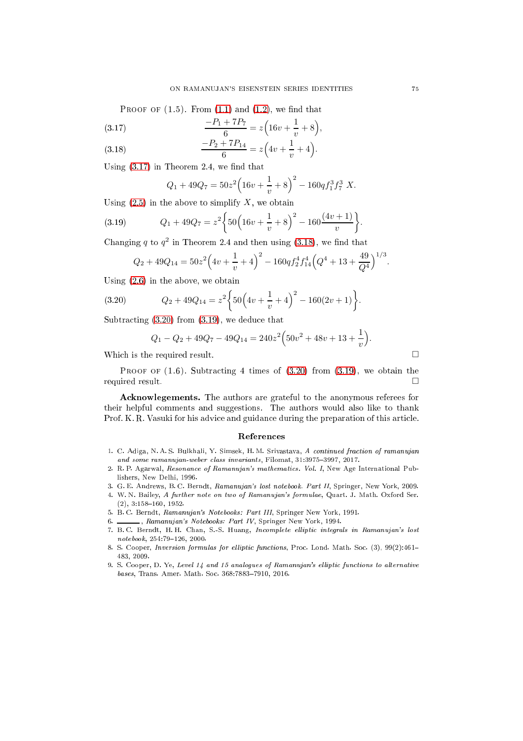PROOF OF  $(1.5)$ . From  $(1.1)$  and  $(1.2)$ , we find that

<span id="page-6-9"></span>(3.17) 
$$
\frac{-P_1 + 7P_7}{6} = z \left( 16v + \frac{1}{v} + 8 \right),
$$

<span id="page-6-10"></span>(3.18) 
$$
\frac{-P_2 + 7P_{14}}{6} = z\left(4v + \frac{1}{v} + 4\right).
$$

Using  $(3.17)$  in Theorem 2.4, we find that

<span id="page-6-12"></span>
$$
Q_1 + 49Q_7 = 50z^2 \left(16v + \frac{1}{v} + 8\right)^2 - 160q f_1^3 f_7^3 X.
$$

Using  $(2.5)$  in the above to simplify X, we obtain

(3.19) 
$$
Q_1 + 49Q_7 = z^2 \left\{ 50 \left( 16v + \frac{1}{v} + 8 \right)^2 - 160 \frac{(4v+1)}{v} \right\}.
$$

Changing q to  $q^2$  in Theorem 2.4 and then using [\(3.18\)](#page-6-10), we find that

$$
Q_2 + 49Q_{14} = 50z^2 \left( 4v + \frac{1}{v} + 4 \right)^2 - 160q f_2^4 f_{14}^4 \left( Q^4 + 13 + \frac{49}{Q^4} \right)^{1/3}.
$$

Using [\(2.6\)](#page-2-5) in the above, we obtain

(3.20) 
$$
Q_2 + 49Q_{14} = z^2 \left\{ 50 \left( 4v + \frac{1}{v} + 4 \right)^2 - 160(2v + 1) \right\}.
$$

Subtracting  $(3.20)$  from  $(3.19)$ , we deduce that

<span id="page-6-11"></span>
$$
Q_1 - Q_2 + 49Q_7 - 49Q_{14} = 240z^2 \left(50v^2 + 48v + 13 + \frac{1}{v}\right).
$$

Which is the required result.  $\Box$ 

PROOF OF  $(1.6)$ . Subtracting 4 times of  $(3.20)$  from  $(3.19)$ , we obtain the required result.

A
knowlegements. The authors are grateful to the anonymous referees for their helpful omments and suggestions. The authors would also like to thank Prof. K. R. Vasuki for his advice and guidance during the preparation of this article.

#### Referen
es

- <span id="page-6-0"></span>1. C. Adiga, N. A. S. Bulkhali, Y. Simsek, H. M. Srivastava, A continued fraction of ramanujan and some ramanujan-weber class invariants, Filomat, 31:3975-3997, 2017.
- <span id="page-6-2"></span>2. R. P. Agarwal, Resonance of Ramanujan's mathematics. Vol. I, New Age International Publishers, New Delhi, 1996.
- <span id="page-6-7"></span><span id="page-6-3"></span>3. G. E. Andrews, B. C. Berndt, Ramanujan's lost notebook. Part II, Springer, New York, 2009.
- 4. W. N. Bailey, A further note on two of Ramanujan's formulae, Quart. J. Math. Oxford Ser.  $(2), 3:158-160, 1952.$
- <span id="page-6-8"></span><span id="page-6-4"></span>5. B. C. Berndt, Ramanujan's Notebooks: Part III, Springer New York, 1991.
- <span id="page-6-6"></span>6. *Lamanujan's Notebooks: Part IV*, Springer New York, 1994. 7. B.C. Berndt, H.H. Chan, S.-S. Huang, Incomplete elliptic integrals in Ramanujan's lost
- <span id="page-6-5"></span> $notebook, 254:79-126, 2000.$
- 8. S. Cooper, Inversion formulas for elliptic functions, Proc. Lond. Math. Soc. (3), 99(2):461-483, 2009.
- <span id="page-6-1"></span>9. S. Cooper, D. Ye, Level 14 and 15 analogues of Ramanujan's elliptic functions to alternative bases, Trans. Amer. Math. Soc. 368:7883-7910, 2016.